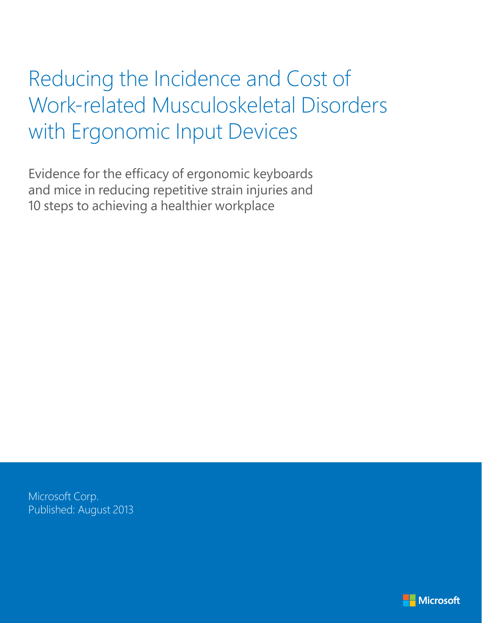# Reducing the Incidence and Cost of Work-related Musculoskeletal Disorders with Ergonomic Input Devices

Evidence for the efficacy of ergonomic keyboards and mice in reducing repetitive strain injuries and 10 steps to achieving a healthier workplace

Microsoft Corp. Published: August 2013

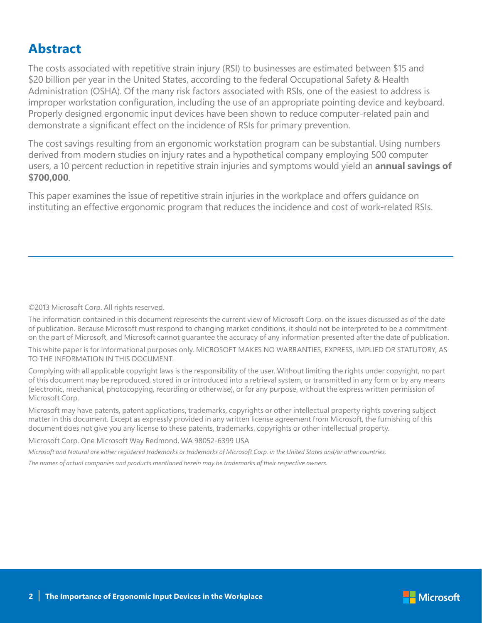### **Abstract**

The costs associated with repetitive strain injury (RSI) to businesses are estimated between \$15 and \$20 billion per year in the United States, according to the federal Occupational Safety & Health Administration (OSHA). Of the many risk factors associated with RSIs, one of the easiest to address is improper workstation configuration, including the use of an appropriate pointing device and keyboard. Properly designed ergonomic input devices have been shown to reduce computer-related pain and demonstrate a significant effect on the incidence of RSIs for primary prevention.

The cost savings resulting from an ergonomic workstation program can be substantial. Using numbers derived from modern studies on injury rates and a hypothetical company employing 500 computer users, a 10 percent reduction in repetitive strain injuries and symptoms would yield an **annual savings of \$700,000**.

This paper examines the issue of repetitive strain injuries in the workplace and offers guidance on instituting an effective ergonomic program that reduces the incidence and cost of work-related RSIs.

#### ©2013 Microsoft Corp. All rights reserved.

The information contained in this document represents the current view of Microsoft Corp. on the issues discussed as of the date of publication. Because Microsoft must respond to changing market conditions, it should not be interpreted to be a commitment on the part of Microsoft, and Microsoft cannot guarantee the accuracy of any information presented after the date of publication.

This white paper is for informational purposes only. MICROSOFT MAKES NO WARRANTIES, EXPRESS, IMPLIED OR STATUTORY, AS TO THE INFORMATION IN THIS DOCUMENT.

Complying with all applicable copyright laws is the responsibility of the user. Without limiting the rights under copyright, no part of this document may be reproduced, stored in or introduced into a retrieval system, or transmitted in any form or by any means (electronic, mechanical, photocopying, recording or otherwise), or for any purpose, without the express written permission of Microsoft Corp.

Microsoft may have patents, patent applications, trademarks, copyrights or other intellectual property rights covering subject matter in this document. Except as expressly provided in any written license agreement from Microsoft, the furnishing of this document does not give you any license to these patents, trademarks, copyrights or other intellectual property.

Microsoft Corp. One Microsoft Way Redmond, WA 98052-6399 USA

*Microsoft and Natural are either registered trademarks or trademarks of Microsoft Corp. in the United States and/or other countries.*

*The names of actual companies and products mentioned herein may be trademarks of their respective owners.*

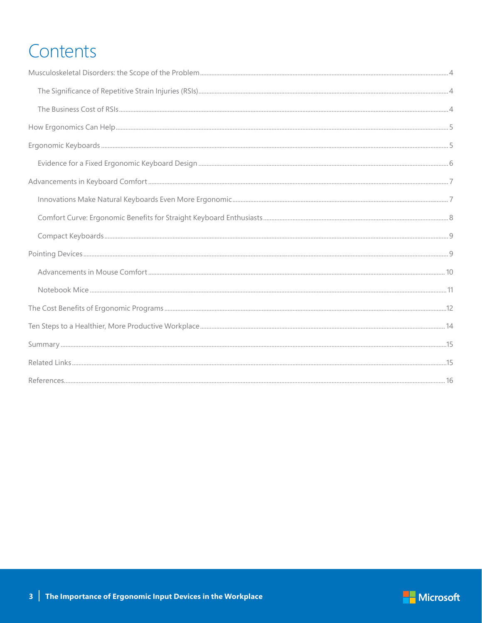# **Contents**

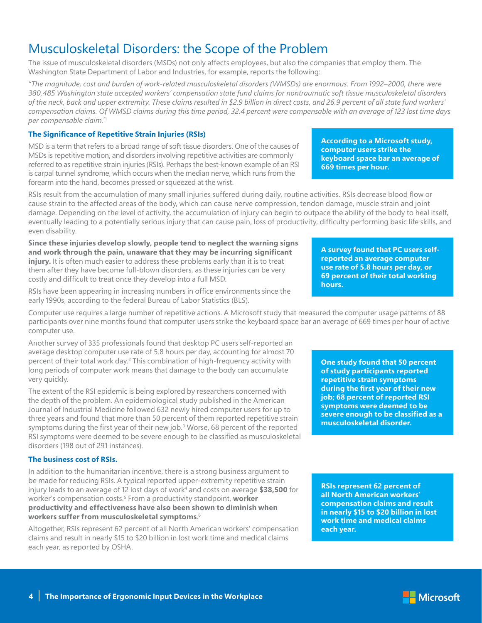# Musculoskeletal Disorders: the Scope of the Problem

The issue of musculoskeletal disorders (MSDs) not only affects employees, but also the companies that employ them. The Washington State Department of Labor and Industries, for example, reports the following:

*"The magnitude, cost and burden of work-related musculoskeletal disorders (WMSDs) are enormous. From 1992–2000, there were 380,485 Washington state accepted workers' compensation state fund claims for nontraumatic soft tissue musculoskeletal disorders of the neck, back and upper extremity. These claims resulted in \$2.9 billion in direct costs, and 26.9 percent of all state fund workers' compensation claims. Of WMSD claims during this time period, 32.4 percent were compensable with an average of 123 lost time days per compensable claim.*"1

#### **The Significance of Repetitive Strain Injuries (RSIs)**

MSD is a term that refers to a broad range of soft tissue disorders. One of the causes of MSDs is repetitive motion, and disorders involving repetitive activities are commonly referred to as repetitive strain injuries (RSIs). Perhaps the best-known example of an RSI is carpal tunnel syndrome, which occurs when the median nerve, which runs from the forearm into the hand, becomes pressed or squeezed at the wrist.

RSIs result from the accumulation of many small injuries suffered during daily, routine activities. RSIs decrease blood flow or cause strain to the affected areas of the body, which can cause nerve compression, tendon damage, muscle strain and joint damage. Depending on the level of activity, the accumulation of injury can begin to outpace the ability of the body to heal itself, eventually leading to a potentially serious injury that can cause pain, loss of productivity, difficulty performing basic life skills, and even disability.

**Since these injuries develop slowly, people tend to neglect the warning signs and work through the pain, unaware that they may be incurring significant injury.** It is often much easier to address these problems early than it is to treat them after they have become full-blown disorders, as these injuries can be very costly and difficult to treat once they develop into a full MSD.

RSIs have been appearing in increasing numbers in office environments since the early 1990s, according to the federal Bureau of Labor Statistics (BLS).

Computer use requires a large number of repetitive actions. A Microsoft study that measured the computer usage patterns of 88 participants over nine months found that computer users strike the keyboard space bar an average of 669 times per hour of active computer use.

Another survey of 335 professionals found that desktop PC users self-reported an average desktop computer use rate of 5.8 hours per day, accounting for almost 70 percent of their total work day.<sup>2</sup> This combination of high-frequency activity with long periods of computer work means that damage to the body can accumulate very quickly.

The extent of the RSI epidemic is being explored by researchers concerned with the depth of the problem. An epidemiological study published in the American Journal of Industrial Medicine followed 632 newly hired computer users for up to three years and found that more than 50 percent of them reported repetitive strain symptoms during the first year of their new job.<sup>3</sup> Worse, 68 percent of the reported RSI symptoms were deemed to be severe enough to be classified as musculoskeletal disorders (198 out of 291 instances).

#### **The business cost of RSIs.**

In addition to the humanitarian incentive, there is a strong business argument to be made for reducing RSIs. A typical reported upper-extremity repetitive strain injury leads to an average of 12 lost days of work<sup>4</sup> and costs on average \$38,500 for worker's compensation costs.5 From a productivity standpoint, **worker productivity and effectiveness have also been shown to diminish when workers suffer from musculoskeletal symptoms**. 6

Altogether, RSIs represent 62 percent of all North American workers' compensation claims and result in nearly \$15 to \$20 billion in lost work time and medical claims each year, as reported by OSHA.

**A survey found that PC users selfreported an average computer use rate of 5.8 hours per day, or 69 percent of their total working hours.**

**According to a Microsoft study, computer users strike the** 

**keyboard space bar an average of** 

**669 times per hour.** 

**One study found that 50 percent of study participants reported repetitive strain symptoms during the first year of their new job; 68 percent of reported RSI symptoms were deemed to be severe enough to be classified as a musculoskeletal disorder.**

**RSIs represent 62 percent of all North American workers' compensation claims and result in nearly \$15 to \$20 billion in lost work time and medical claims each year.**

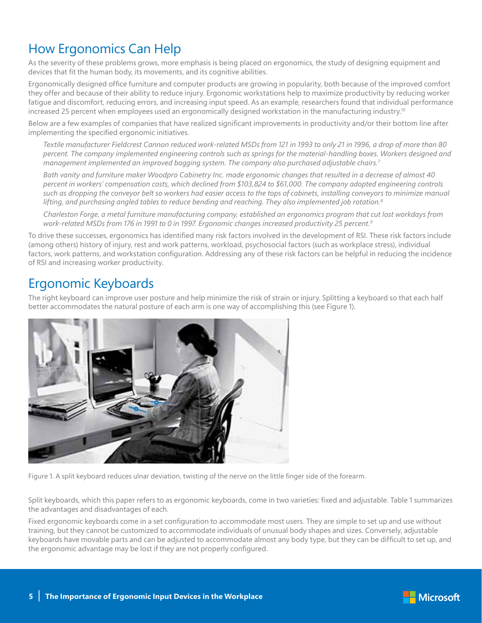# How Ergonomics Can Help

As the severity of these problems grows, more emphasis is being placed on ergonomics, the study of designing equipment and devices that fit the human body, its movements, and its cognitive abilities.

Ergonomically designed office furniture and computer products are growing in popularity, both because of the improved comfort they offer and because of their ability to reduce injury. Ergonomic workstations help to maximize productivity by reducing worker fatigue and discomfort, reducing errors, and increasing input speed. As an example, researchers found that individual performance increased 25 percent when employees used an ergonomically designed workstation in the manufacturing industry.<sup>10</sup>

Below are a few examples of companies that have realized significant improvements in productivity and/or their bottom line after implementing the specified ergonomic initiatives.

*Textile manufacturer Fieldcrest Cannon reduced work-related MSDs from 121 in 1993 to only 21 in 1996, a drop of more than 80 percent. The company implemented engineering controls such as springs for the material-handling boxes. Workers designed and management implemented an improved bagging system. The company also purchased adjustable chairs.7*

*Bath vanity and furniture maker Woodpro Cabinetry Inc. made ergonomic changes that resulted in a decrease of almost 40 percent in workers' compensation costs, which declined from \$103,824 to \$61,000. The company adopted engineering controls such as dropping the conveyor belt so workers had easier access to the tops of cabinets, installing conveyors to minimize manual lifting, and purchasing angled tables to reduce bending and reaching. They also implemented job rotation.8*

*Charleston Forge, a metal furniture manufacturing company, established an ergonomics program that cut lost workdays from work-related MSDs from 176 in 1991 to 0 in 1997. Ergonomic changes increased productivity 25 percent.9*

To drive these successes, ergonomics has identified many risk factors involved in the development of RSI. These risk factors include (among others) history of injury, rest and work patterns, workload, psychosocial factors (such as workplace stress), individual factors, work patterns, and workstation configuration. Addressing any of these risk factors can be helpful in reducing the incidence of RSI and increasing worker productivity.

### Ergonomic Keyboards

The right keyboard can improve user posture and help minimize the risk of strain or injury. Splitting a keyboard so that each half better accommodates the natural posture of each arm is one way of accomplishing this (see Figure 1).



Figure 1. A split keyboard reduces ulnar deviation, twisting of the nerve on the little finger side of the forearm.

Split keyboards, which this paper refers to as ergonomic keyboards, come in two varieties: fixed and adjustable. Table 1 summarizes the advantages and disadvantages of each.

Fixed ergonomic keyboards come in a set configuration to accommodate most users. They are simple to set up and use without training, but they cannot be customized to accommodate individuals of unusual body shapes and sizes. Conversely, adjustable keyboards have movable parts and can be adjusted to accommodate almost any body type, but they can be difficult to set up, and the ergonomic advantage may be lost if they are not properly configured.

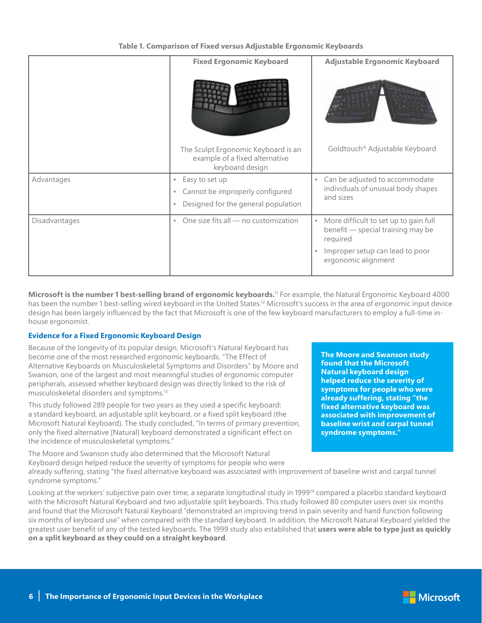|               | <b>Fixed Ergonomic Keyboard</b>                                       | Adjustable Ergonomic Keyboard                                                                       |
|---------------|-----------------------------------------------------------------------|-----------------------------------------------------------------------------------------------------|
|               | The Sculpt Ergonomic Keyboard is an<br>example of a fixed alternative | Goldtouch® Adjustable Keyboard                                                                      |
| Advantages    | keyboard design<br>Easy to set up<br>$\bullet$                        | Can be adjusted to accommodate<br>$\bullet$                                                         |
|               | Cannot be improperly configured<br>$\bullet$                          | individuals of unusual body shapes<br>and sizes                                                     |
|               | Designed for the general population<br>$\bullet$                      |                                                                                                     |
| Disadvantages | One size fits all - no customization<br>$\bullet$                     | More difficult to set up to gain full<br>$\bullet$<br>benefit - special training may be<br>required |
|               |                                                                       | Improper setup can lead to poor<br>ergonomic alignment                                              |

**Microsoft is the number 1 best-selling brand of ergonomic keyboards.**<sup>11</sup> For example, the Natural Ergonomic Keyboard 4000 has been the number 1 best-selling wired keyboard in the United States.<sup>12</sup> Microsoft's success in the area of ergonomic input device design has been largely influenced by the fact that Microsoft is one of the few keyboard manufacturers to employ a full-time inhouse ergonomist.

#### **Evidence for a Fixed Ergonomic Keyboard Design**

Because of the longevity of its popular design, Microsoft's Natural Keyboard has become one of the most researched ergonomic keyboards. "The Effect of Alternative Keyboards on Musculoskeletal Symptoms and Disorders" by Moore and Swanson, one of the largest and most meaningful studies of ergonomic computer peripherals, assessed whether keyboard design was directly linked to the risk of musculoskeletal disorders and symptoms.<sup>13</sup>

This study followed 289 people for two years as they used a specific keyboard: a standard keyboard, an adjustable split keyboard, or a fixed split keyboard (the Microsoft Natural Keyboard). The study concluded, "In terms of primary prevention, only the fixed alternative [Natural] keyboard demonstrated a significant effect on the incidence of musculoskeletal symptoms."

The Moore and Swanson study also determined that the Microsoft Natural Keyboard design helped reduce the severity of symptoms for people who were **The Moore and Swanson study found that the Microsoft Natural keyboard design helped reduce the severity of symptoms for people who were already suffering, stating "the fixed alternative keyboard was associated with improvement of baseline wrist and carpal tunnel syndrome symptoms."**

already suffering, stating "the fixed alternative keyboard was associated with improvement of baseline wrist and carpal tunnel syndrome symptoms."

Looking at the workers' subjective pain over time, a separate longitudinal study in 1999<sup>14</sup> compared a placebo standard keyboard with the Microsoft Natural Keyboard and two adjustable split keyboards. This study followed 80 computer users over six months and found that the Microsoft Natural Keyboard "demonstrated an improving trend in pain severity and hand function following six months of keyboard use" when compared with the standard keyboard. In addition, the Microsoft Natural Keyboard yielded the greatest user benefit of any of the tested keyboards. The 1999 study also established that **users were able to type just as quickly on a split keyboard as they could on a straight keyboard**.

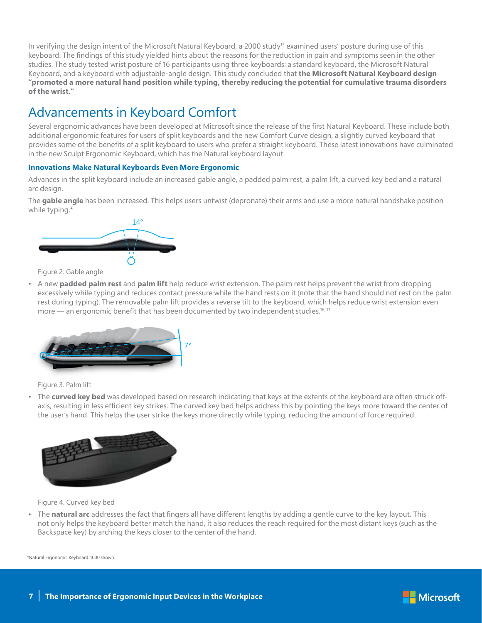In verifying the design intent of the Microsoft Natural Keyboard, a 2000 study<sup>15</sup> examined users' posture during use of this keyboard. The findings of this study yielded hints about the reasons for the reduction in pain and symptoms seen in the other studies. The study tested wrist posture of 16 participants using three keyboards: a standard keyboard, the Microsoft Natural Keyboard, and a keyboard with adjustable-angle design. This study concluded that **the Microsoft Natural Keyboard design "promoted a more natural hand position while typing, thereby reducing the potential for cumulative trauma disorders of the wrist."**

# Advancements in Keyboard Comfort

Several ergonomic advances have been developed at Microsoft since the release of the first Natural Keyboard. These include both additional ergonomic features for users of split keyboards and the new Comfort Curve design, a slightly curved keyboard that provides some of the benefits of a split keyboard to users who prefer a straight keyboard. These latest innovations have culminated in the new Sculpt Ergonomic Keyboard, which has the Natural keyboard layout.

#### **Innovations Make Natural Keyboards Even More Ergonomic**

Advances in the split keyboard include an increased gable angle, a padded palm rest, a palm lift, a curved key bed and a natural arc design.

The **gable angle** has been increased. This helps users untwist (depronate) their arms and use a more natural handshake position while typing.\*



Figure 2. Gable angle

• A new **padded palm rest** and **palm lift** help reduce wrist extension. The palm rest helps prevent the wrist from dropping excessively while typing and reduces contact pressure while the hand rests on it (note that the hand should not rest on the palm rest during typing). The removable palm lift provides a reverse tilt to the keyboard, which helps reduce wrist extension even more — an ergonomic benefit that has been documented by two independent studies.<sup>16, 17</sup>



Figure 3. Palm lift

• The **curved key bed** was developed based on research indicating that keys at the extents of the keyboard are often struck offaxis, resulting in less efficient key strikes. The curved key bed helps address this by pointing the keys more toward the center of the user's hand. This helps the user strike the keys more directly while typing, reducing the amount of force required.



Figure 4. Curved key bed

• The **natural arc** addresses the fact that fingers all have different lengths by adding a gentle curve to the key layout. This not only helps the keyboard better match the hand, it also reduces the reach required for the most distant keys (such as the Backspace key) by arching the keys closer to the center of the hand.

\*Natural Ergonomic Keyboard 4000 shown.

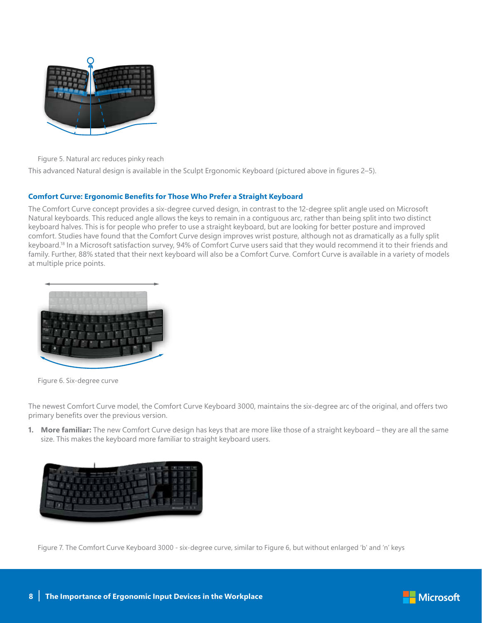

Figure 5. Natural arc reduces pinky reach

This advanced Natural design is available in the Sculpt Ergonomic Keyboard (pictured above in figures 2–5).

#### **Comfort Curve: Ergonomic Benefits for Those Who Prefer a Straight Keyboard**

The Comfort Curve concept provides a six-degree curved design, in contrast to the 12-degree split angle used on Microsoft Natural keyboards. This reduced angle allows the keys to remain in a contiguous arc, rather than being split into two distinct keyboard halves. This is for people who prefer to use a straight keyboard, but are looking for better posture and improved comfort. Studies have found that the Comfort Curve design improves wrist posture, although not as dramatically as a fully split keyboard.18 In a Microsoft satisfaction survey, 94% of Comfort Curve users said that they would recommend it to their friends and family. Further, 88% stated that their next keyboard will also be a Comfort Curve. Comfort Curve is available in a variety of models at multiple price points.



Figure 6. Six-degree curve

The newest Comfort Curve model, the Comfort Curve Keyboard 3000, maintains the six-degree arc of the original, and offers two primary benefits over the previous version.

**1. More familiar:** The new Comfort Curve design has keys that are more like those of a straight keyboard – they are all the same size. This makes the keyboard more familiar to straight keyboard users.



Figure 7. The Comfort Curve Keyboard 3000 - six-degree curve, similar to Figure 6, but without enlarged 'b' and 'n' keys

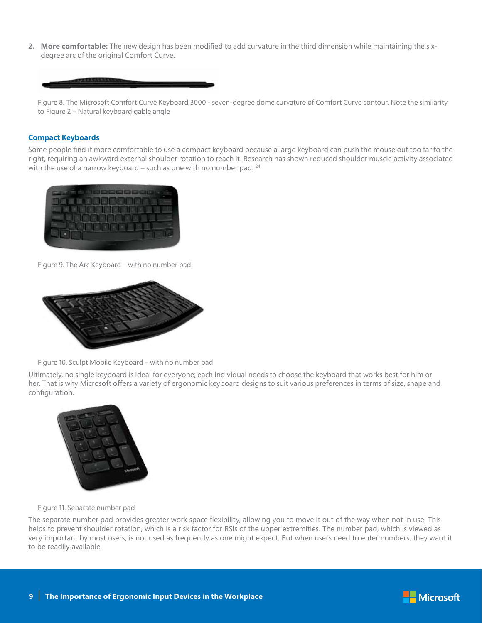**2. More comfortable:** The new design has been modified to add curvature in the third dimension while maintaining the sixdegree arc of the original Comfort Curve.



Figure 8. The Microsoft Comfort Curve Keyboard 3000 - seven-degree dome curvature of Comfort Curve contour. Note the similarity to Figure 2 – Natural keyboard gable angle

#### **Compact Keyboards**

Some people find it more comfortable to use a compact keyboard because a large keyboard can push the mouse out too far to the right, requiring an awkward external shoulder rotation to reach it. Research has shown reduced shoulder muscle activity associated with the use of a narrow keyboard – such as one with no number pad.  $24$ 



Figure 9. The Arc Keyboard – with no number pad



Figure 10. Sculpt Mobile Keyboard – with no number pad

Ultimately, no single keyboard is ideal for everyone; each individual needs to choose the keyboard that works best for him or her. That is why Microsoft offers a variety of ergonomic keyboard designs to suit various preferences in terms of size, shape and configuration.



Figure 11. Separate number pad

The separate number pad provides greater work space flexibility, allowing you to move it out of the way when not in use. This helps to prevent shoulder rotation, which is a risk factor for RSIs of the upper extremities. The number pad, which is viewed as very important by most users, is not used as frequently as one might expect. But when users need to enter numbers, they want it to be readily available.

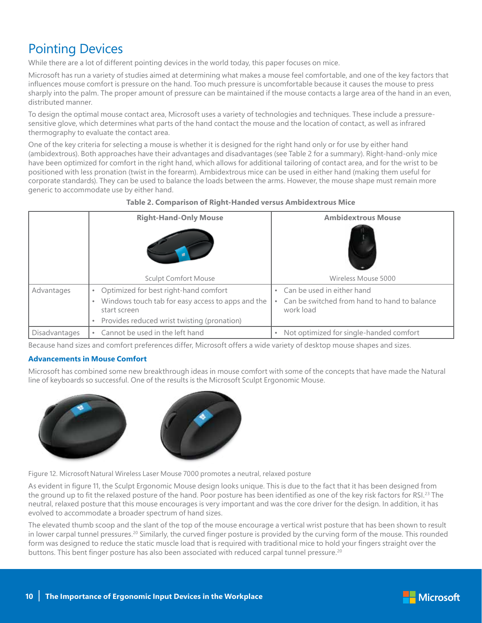### Pointing Devices

While there are a lot of different pointing devices in the world today, this paper focuses on mice.

Microsoft has run a variety of studies aimed at determining what makes a mouse feel comfortable, and one of the key factors that influences mouse comfort is pressure on the hand. Too much pressure is uncomfortable because it causes the mouse to press sharply into the palm. The proper amount of pressure can be maintained if the mouse contacts a large area of the hand in an even, distributed manner.

To design the optimal mouse contact area, Microsoft uses a variety of technologies and techniques. These include a pressuresensitive glove, which determines what parts of the hand contact the mouse and the location of contact, as well as infrared thermography to evaluate the contact area.

One of the key criteria for selecting a mouse is whether it is designed for the right hand only or for use by either hand (ambidextrous). Both approaches have their advantages and disadvantages (see Table 2 for a summary). Right-hand-only mice have been optimized for comfort in the right hand, which allows for additional tailoring of contact area, and for the wrist to be positioned with less pronation (twist in the forearm). Ambidextrous mice can be used in either hand (making them useful for corporate standards). They can be used to balance the loads between the arms. However, the mouse shape must remain more generic to accommodate use by either hand.

|                      | <b>Right-Hand-Only Mouse</b>                                                                                                                                                                     | <b>Ambidextrous Mouse</b>                                                               |
|----------------------|--------------------------------------------------------------------------------------------------------------------------------------------------------------------------------------------------|-----------------------------------------------------------------------------------------|
|                      | <b>Sculpt Comfort Mouse</b>                                                                                                                                                                      | Wireless Mouse 5000                                                                     |
| Advantages           | Optimized for best right-hand comfort<br>$\bullet$<br>Windows touch tab for easy access to apps and the<br>$\bullet$<br>start screen<br>Provides reduced wrist twisting (pronation)<br>$\bullet$ | Can be used in either hand<br>Can be switched from hand to hand to balance<br>work load |
| <b>Disadvantages</b> | Cannot be used in the left hand<br>٠                                                                                                                                                             | Not optimized for single-handed comfort<br>٠                                            |

**Table 2. Comparison of Right-Handed versus Ambidextrous Mice**

Because hand sizes and comfort preferences differ, Microsoft offers a wide variety of desktop mouse shapes and sizes.

#### **Advancements in Mouse Comfort**

Microsoft has combined some new breakthrough ideas in mouse comfort with some of the concepts that have made the Natural line of keyboards so successful. One of the results is the Microsoft Sculpt Ergonomic Mouse.



Figure 12. Microsoft Natural Wireless Laser Mouse 7000 promotes a neutral, relaxed posture

As evident in figure 11, the Sculpt Ergonomic Mouse design looks unique. This is due to the fact that it has been designed from the ground up to fit the relaxed posture of the hand. Poor posture has been identified as one of the key risk factors for RSI.<sup>23</sup> The neutral, relaxed posture that this mouse encourages is very important and was the core driver for the design. In addition, it has evolved to accommodate a broader spectrum of hand sizes.

The elevated thumb scoop and the slant of the top of the mouse encourage a vertical wrist posture that has been shown to result in lower carpal tunnel pressures.<sup>20</sup> Similarly, the curved finger posture is provided by the curving form of the mouse. This rounded form was designed to reduce the static muscle load that is required with traditional mice to hold your fingers straight over the buttons. This bent finger posture has also been associated with reduced carpal tunnel pressure.<sup>20</sup>

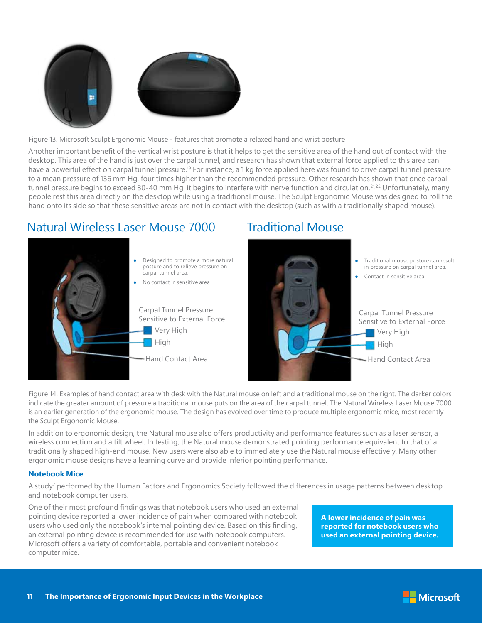

Figure 13. Microsoft Sculpt Ergonomic Mouse - features that promote a relaxed hand and wrist posture

Another important benefit of the vertical wrist posture is that it helps to get the sensitive area of the hand out of contact with the desktop. This area of the hand is just over the carpal tunnel, and research has shown that external force applied to this area can have a powerful effect on carpal tunnel pressure.<sup>19</sup> For instance, a 1 kg force applied here was found to drive carpal tunnel pressure to a mean pressure of 136 mm Hg, four times higher than the recommended pressure. Other research has shown that once carpal tunnel pressure begins to exceed 30-40 mm Hg, it begins to interfere with nerve function and circulation.<sup>21,22</sup> Unfortunately, many people rest this area directly on the desktop while using a traditional mouse. The Sculpt Ergonomic Mouse was designed to roll the hand onto its side so that these sensitive areas are not in contact with the desktop (such as with a traditionally shaped mouse).

Traditional Mouse

### Natural Wireless Laser Mouse 7000



Figure 14. Examples of hand contact area with desk with the Natural mouse on left and a traditional mouse on the right. The darker colors indicate the greater amount of pressure a traditional mouse puts on the area of the carpal tunnel. The Natural Wireless Laser Mouse 7000 is an earlier generation of the ergonomic mouse. The design has evolved over time to produce multiple ergonomic mice, most recently the Sculpt Ergonomic Mouse.

In addition to ergonomic design, the Natural mouse also offers productivity and performance features such as a laser sensor, a wireless connection and a tilt wheel. In testing, the Natural mouse demonstrated pointing performance equivalent to that of a traditionally shaped high-end mouse. New users were also able to immediately use the Natural mouse effectively. Many other ergonomic mouse designs have a learning curve and provide inferior pointing performance.

#### **Notebook Mice**

A study<sup>2</sup> performed by the Human Factors and Ergonomics Society followed the differences in usage patterns between desktop and notebook computer users.

One of their most profound findings was that notebook users who used an external pointing device reported a lower incidence of pain when compared with notebook users who used only the notebook's internal pointing device. Based on this finding, an external pointing device is recommended for use with notebook computers. Microsoft offers a variety of comfortable, portable and convenient notebook computer mice.

**A lower incidence of pain was reported for notebook users who used an external pointing device.**

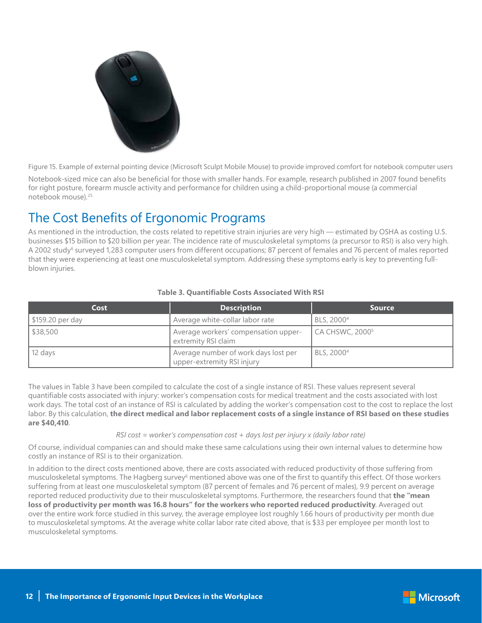

Figure 15. Example of external pointing device (Microsoft Sculpt Mobile Mouse) to provide improved comfort for notebook computer users

Notebook-sized mice can also be beneficial for those with smaller hands. For example, research published in 2007 found benefits for right posture, forearm muscle activity and performance for children using a child-proportional mouse (a commercial notebook mouse).25

# The Cost Benefits of Ergonomic Programs

As mentioned in the introduction, the costs related to repetitive strain injuries are very high — estimated by OSHA as costing U.S. businesses \$15 billion to \$20 billion per year. The incidence rate of musculoskeletal symptoms (a precursor to RSI) is also very high. A 2002 study<sup>6</sup> surveyed 1,283 computer users from different occupations; 87 percent of females and 76 percent of males reported that they were experiencing at least one musculoskeletal symptom. Addressing these symptoms early is key to preventing fullblown injuries.

| Cost            | <b>Description</b>                                                 | <b>Source</b>               |
|-----------------|--------------------------------------------------------------------|-----------------------------|
| S159.20 per day | Average white-collar labor rate                                    | BLS, 2000 <sup>4</sup>      |
| \$38,500        | Average workers' compensation upper-<br>extremity RSI claim        | CA CHSWC, 2000 <sup>5</sup> |
| $\vert$ 12 days | Average number of work days lost per<br>upper-extremity RSI injury | BLS, 2000 <sup>4</sup>      |

#### **Table 3. Quantifiable Costs Associated With RSI**

The values in Table 3 have been compiled to calculate the cost of a single instance of RSI. These values represent several quantifiable costs associated with injury: worker's compensation costs for medical treatment and the costs associated with lost work days. The total cost of an instance of RSI is calculated by adding the worker's compensation cost to the cost to replace the lost labor. By this calculation, **the direct medical and labor replacement costs of a single instance of RSI based on these studies are \$40,410**.

#### *RSI cost = worker's compensation cost + days lost per injury x (daily labor rate)*

Of course, individual companies can and should make these same calculations using their own internal values to determine how costly an instance of RSI is to their organization.

In addition to the direct costs mentioned above, there are costs associated with reduced productivity of those suffering from musculoskeletal symptoms. The Hagberg survey<sup>6</sup> mentioned above was one of the first to quantify this effect. Of those workers suffering from at least one musculoskeletal symptom (87 percent of females and 76 percent of males), 9.9 percent on average reported reduced productivity due to their musculoskeletal symptoms. Furthermore, the researchers found that **the "mean loss of productivity per month was 16.8 hours" for the workers who reported reduced productivity**. Averaged out over the entire work force studied in this survey, the average employee lost roughly 1.66 hours of productivity per month due to musculoskeletal symptoms. At the average white collar labor rate cited above, that is \$33 per employee per month lost to musculoskeletal symptoms.

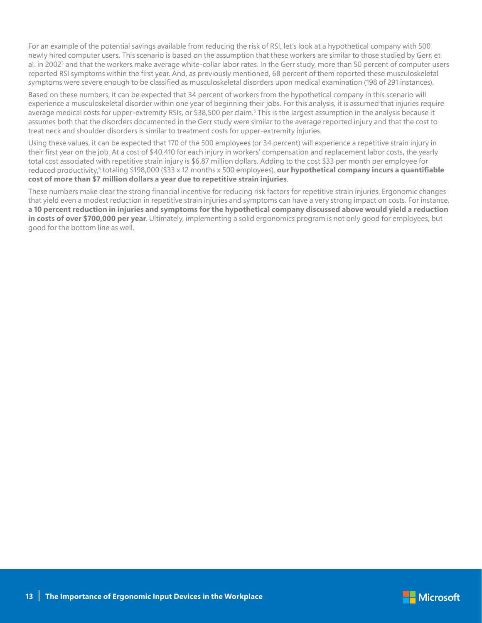For an example of the potential savings available from reducing the risk of RSI, let's look at a hypothetical company with 500 newly hired computer users. This scenario is based on the assumption that these workers are similar to those studied by Gerr, et al. in 2002<sup>3</sup> and that the workers make average white-collar labor rates. In the Gerr study, more than 50 percent of computer users reported RSI symptoms within the first year. And, as previously mentioned, 68 percent of them reported these musculoskeletal symptoms were severe enough to be classified as musculoskeletal disorders upon medical examination (198 of 291 instances).

Based on these numbers, it can be expected that 34 percent of workers from the hypothetical company in this scenario will experience a musculoskeletal disorder within one year of beginning their jobs. For this analysis, it is assumed that injuries require average medical costs for upper-extremity RSIs, or \$38,500 per claim.<sup>5</sup> This is the largest assumption in the analysis because it assumes both that the disorders documented in the Gerr study were similar to the average reported injury and that the cost to treat neck and shoulder disorders is similar to treatment costs for upper-extremity injuries.

Using these values, it can be expected that 170 of the 500 employees (or 34 percent) will experience a repetitive strain injury in their first year on the job. At a cost of \$40,410 for each injury in workers' compensation and replacement labor costs, the yearly total cost associated with repetitive strain injury is \$6.87 million dollars. Adding to the cost \$33 per month per employee for reduced productivity,<sup>6</sup> totaling \$198,000 (\$33 x 12 months x 500 employees), **our hypothetical company incurs a quantifiable cost of more than \$7 million dollars a year due to repetitive strain injuries**.

These numbers make clear the strong financial incentive for reducing risk factors for repetitive strain injuries. Ergonomic changes that yield even a modest reduction in repetitive strain injuries and symptoms can have a very strong impact on costs. For instance, **a 10 percent reduction in injuries and symptoms for the hypothetical company discussed above would yield a reduction in costs of over \$700,000 per year**. Ultimately, implementing a solid ergonomics program is not only good for employees, but good for the bottom line as well.

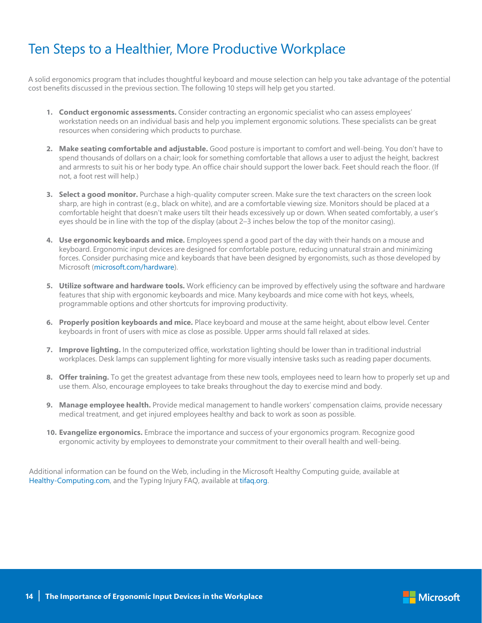# Ten Steps to a Healthier, More Productive Workplace

A solid ergonomics program that includes thoughtful keyboard and mouse selection can help you take advantage of the potential cost benefits discussed in the previous section. The following 10 steps will help get you started.

- **1. Conduct ergonomic assessments.** Consider contracting an ergonomic specialist who can assess employees' workstation needs on an individual basis and help you implement ergonomic solutions. These specialists can be great resources when considering which products to purchase.
- **2. Make seating comfortable and adjustable.** Good posture is important to comfort and well-being. You don't have to spend thousands of dollars on a chair; look for something comfortable that allows a user to adjust the height, backrest and armrests to suit his or her body type. An office chair should support the lower back. Feet should reach the floor. (If not, a foot rest will help.)
- **3. Select a good monitor.** Purchase a high-quality computer screen. Make sure the text characters on the screen look sharp, are high in contrast (e.g., black on white), and are a comfortable viewing size. Monitors should be placed at a comfortable height that doesn't make users tilt their heads excessively up or down. When seated comfortably, a user's eyes should be in line with the top of the display (about 2–3 inches below the top of the monitor casing).
- **4. Use ergonomic keyboards and mice.** Employees spend a good part of the day with their hands on a mouse and keyboard. Ergonomic input devices are designed for comfortable posture, reducing unnatural strain and minimizing forces. Consider purchasing mice and keyboards that have been designed by ergonomists, such as those developed by Microsoft (microsoft.com/hardware).
- **5. Utilize software and hardware tools.** Work efficiency can be improved by effectively using the software and hardware features that ship with ergonomic keyboards and mice. Many keyboards and mice come with hot keys, wheels, programmable options and other shortcuts for improving productivity.
- **6. Properly position keyboards and mice.** Place keyboard and mouse at the same height, about elbow level. Center keyboards in front of users with mice as close as possible. Upper arms should fall relaxed at sides.
- **7. Improve lighting.** In the computerized office, workstation lighting should be lower than in traditional industrial workplaces. Desk lamps can supplement lighting for more visually intensive tasks such as reading paper documents.
- **8. Offer training.** To get the greatest advantage from these new tools, employees need to learn how to properly set up and use them. Also, encourage employees to take breaks throughout the day to exercise mind and body.
- **9. Manage employee health.** Provide medical management to handle workers' compensation claims, provide necessary medical treatment, and get injured employees healthy and back to work as soon as possible.
- **10. Evangelize ergonomics.** Embrace the importance and success of your ergonomics program. Recognize good ergonomic activity by employees to demonstrate your commitment to their overall health and well-being.

Additional information can be found on the Web, including in the Microsoft Healthy Computing guide, available at Healthy-Computing.com, and the Typing Injury FAQ, available at tifaq.org.

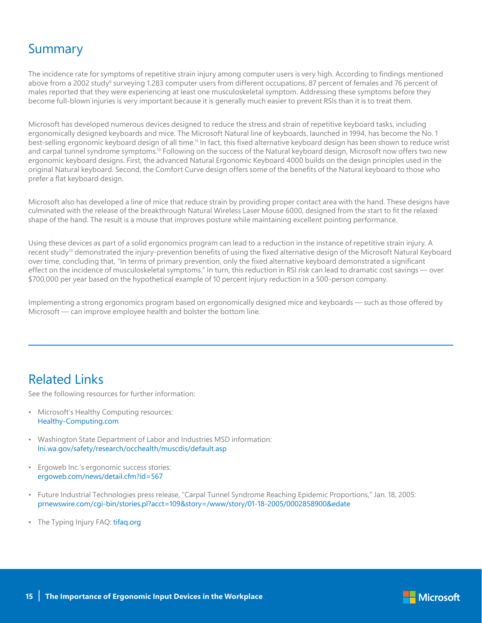### Summary

The incidence rate for symptoms of repetitive strain injury among computer users is very high. According to findings mentioned above from a 2002 study<sup>6</sup> surveying 1,283 computer users from different occupations, 87 percent of females and 76 percent of males reported that they were experiencing at least one musculoskeletal symptom. Addressing these symptoms before they become full-blown injuries is very important because it is generally much easier to prevent RSIs than it is to treat them.

Microsoft has developed numerous devices designed to reduce the stress and strain of repetitive keyboard tasks, including ergonomically designed keyboards and mice. The Microsoft Natural line of keyboards, launched in 1994, has become the No. 1 best-selling ergonomic keyboard design of all time.<sup>11</sup> In fact, this fixed alternative keyboard design has been shown to reduce wrist and carpal tunnel syndrome symptoms.<sup>13</sup> Following on the success of the Natural keyboard design, Microsoft now offers two new ergonomic keyboard designs. First, the advanced Natural Ergonomic Keyboard 4000 builds on the design principles used in the original Natural keyboard. Second, the Comfort Curve design offers some of the benefits of the Natural keyboard to those who prefer a flat keyboard design.

Microsoft also has developed a line of mice that reduce strain by providing proper contact area with the hand. These designs have culminated with the release of the breakthrough Natural Wireless Laser Mouse 6000, designed from the start to fit the relaxed shape of the hand. The result is a mouse that improves posture while maintaining excellent pointing performance.

Using these devices as part of a solid ergonomics program can lead to a reduction in the instance of repetitive strain injury. A recent study<sup>13</sup> demonstrated the injury-prevention benefits of using the fixed alternative design of the Microsoft Natural Keyboard over time, concluding that, "In terms of primary prevention, only the fixed alternative keyboard demonstrated a significant effect on the incidence of musculoskeletal symptoms." In turn, this reduction in RSI risk can lead to dramatic cost savings — over \$700,000 per year based on the hypothetical example of 10 percent injury reduction in a 500-person company.

Implementing a strong ergonomics program based on ergonomically designed mice and keyboards — such as those offered by Microsoft — can improve employee health and bolster the bottom line.

### Related Links

See the following resources for further information:

- Microsoft's Healthy Computing resources: Healthy-Computing.com
- Washington State Department of Labor and Industries MSD information: lni.wa.gov/safety/research/occhealth/muscdis/default.asp
- Ergoweb Inc.'s ergonomic success stories: ergoweb.com/news/detail.cfm?id=567
- Future Industrial Technologies press release, "Carpal Tunnel Syndrome Reaching Epidemic Proportions," Jan. 18, 2005: prnewswire.com/cgi-bin/stories.pl?acct=109&story=/www/story/01-18-2005/0002858900&edate
- The Typing Injury FAQ: tifaq.org